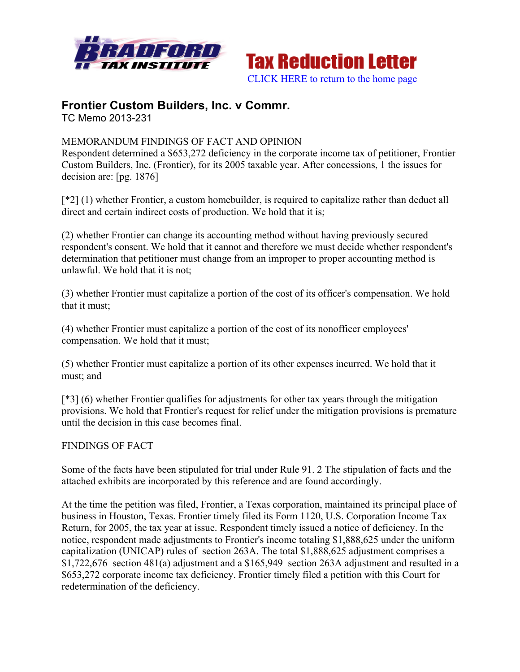



# **Frontier Custom Builders, Inc. v Commr.**

TC Memo 2013-231

## MEMORANDUM FINDINGS OF FACT AND OPINION

Respondent determined a \$653,272 deficiency in the corporate income tax of petitioner, Frontier Custom Builders, Inc. (Frontier), for its 2005 taxable year. After concessions, 1 the issues for decision are: [pg. 1876]

[\*2] (1) whether Frontier, a custom homebuilder, is required to capitalize rather than deduct all direct and certain indirect costs of production. We hold that it is;

(2) whether Frontier can change its accounting method without having previously secured respondent's consent. We hold that it cannot and therefore we must decide whether respondent's determination that petitioner must change from an improper to proper accounting method is unlawful. We hold that it is not;

(3) whether Frontier must capitalize a portion of the cost of its officer's compensation. We hold that it must;

(4) whether Frontier must capitalize a portion of the cost of its nonofficer employees' compensation. We hold that it must;

(5) whether Frontier must capitalize a portion of its other expenses incurred. We hold that it must; and

[\*3] (6) whether Frontier qualifies for adjustments for other tax years through the mitigation provisions. We hold that Frontier's request for relief under the mitigation provisions is premature until the decision in this case becomes final.

FINDINGS OF FACT

Some of the facts have been stipulated for trial under Rule 91. 2 The stipulation of facts and the attached exhibits are incorporated by this reference and are found accordingly.

At the time the petition was filed, Frontier, a Texas corporation, maintained its principal place of business in Houston, Texas. Frontier timely filed its Form 1120, U.S. Corporation Income Tax Return, for 2005, the tax year at issue. Respondent timely issued a notice of deficiency. In the notice, respondent made adjustments to Frontier's income totaling \$1,888,625 under the uniform capitalization (UNICAP) rules of section 263A. The total \$1,888,625 adjustment comprises a \$1,722,676 section 481(a) adjustment and a \$165,949 section 263A adjustment and resulted in a \$653,272 corporate income tax deficiency. Frontier timely filed a petition with this Court for redetermination of the deficiency.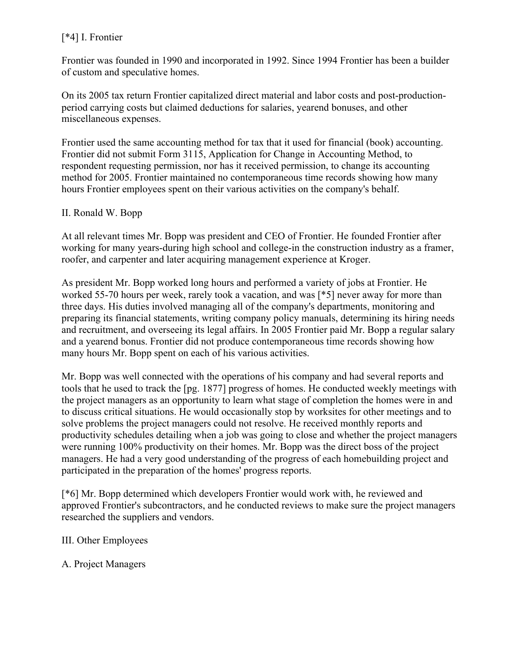# [\*4] I. Frontier

Frontier was founded in 1990 and incorporated in 1992. Since 1994 Frontier has been a builder of custom and speculative homes.

On its 2005 tax return Frontier capitalized direct material and labor costs and post-productionperiod carrying costs but claimed deductions for salaries, yearend bonuses, and other miscellaneous expenses.

Frontier used the same accounting method for tax that it used for financial (book) accounting. Frontier did not submit Form 3115, Application for Change in Accounting Method, to respondent requesting permission, nor has it received permission, to change its accounting method for 2005. Frontier maintained no contemporaneous time records showing how many hours Frontier employees spent on their various activities on the company's behalf.

## II. Ronald W. Bopp

At all relevant times Mr. Bopp was president and CEO of Frontier. He founded Frontier after working for many years-during high school and college-in the construction industry as a framer, roofer, and carpenter and later acquiring management experience at Kroger.

As president Mr. Bopp worked long hours and performed a variety of jobs at Frontier. He worked 55-70 hours per week, rarely took a vacation, and was [\*5] never away for more than three days. His duties involved managing all of the company's departments, monitoring and preparing its financial statements, writing company policy manuals, determining its hiring needs and recruitment, and overseeing its legal affairs. In 2005 Frontier paid Mr. Bopp a regular salary and a yearend bonus. Frontier did not produce contemporaneous time records showing how many hours Mr. Bopp spent on each of his various activities.

Mr. Bopp was well connected with the operations of his company and had several reports and tools that he used to track the [pg. 1877] progress of homes. He conducted weekly meetings with the project managers as an opportunity to learn what stage of completion the homes were in and to discuss critical situations. He would occasionally stop by worksites for other meetings and to solve problems the project managers could not resolve. He received monthly reports and productivity schedules detailing when a job was going to close and whether the project managers were running 100% productivity on their homes. Mr. Bopp was the direct boss of the project managers. He had a very good understanding of the progress of each homebuilding project and participated in the preparation of the homes' progress reports.

[\*6] Mr. Bopp determined which developers Frontier would work with, he reviewed and approved Frontier's subcontractors, and he conducted reviews to make sure the project managers researched the suppliers and vendors.

## III. Other Employees

## A. Project Managers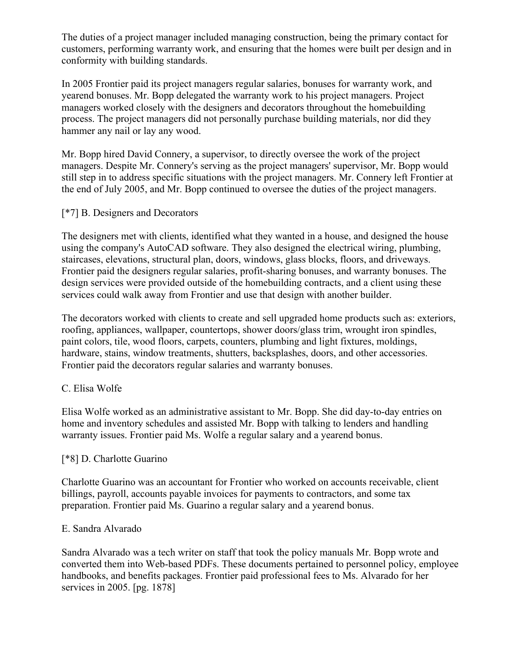The duties of a project manager included managing construction, being the primary contact for customers, performing warranty work, and ensuring that the homes were built per design and in conformity with building standards.

In 2005 Frontier paid its project managers regular salaries, bonuses for warranty work, and yearend bonuses. Mr. Bopp delegated the warranty work to his project managers. Project managers worked closely with the designers and decorators throughout the homebuilding process. The project managers did not personally purchase building materials, nor did they hammer any nail or lay any wood.

Mr. Bopp hired David Connery, a supervisor, to directly oversee the work of the project managers. Despite Mr. Connery's serving as the project managers' supervisor, Mr. Bopp would still step in to address specific situations with the project managers. Mr. Connery left Frontier at the end of July 2005, and Mr. Bopp continued to oversee the duties of the project managers.

## [\*7] B. Designers and Decorators

The designers met with clients, identified what they wanted in a house, and designed the house using the company's AutoCAD software. They also designed the electrical wiring, plumbing, staircases, elevations, structural plan, doors, windows, glass blocks, floors, and driveways. Frontier paid the designers regular salaries, profit-sharing bonuses, and warranty bonuses. The design services were provided outside of the homebuilding contracts, and a client using these services could walk away from Frontier and use that design with another builder.

The decorators worked with clients to create and sell upgraded home products such as: exteriors, roofing, appliances, wallpaper, countertops, shower doors/glass trim, wrought iron spindles, paint colors, tile, wood floors, carpets, counters, plumbing and light fixtures, moldings, hardware, stains, window treatments, shutters, backsplashes, doors, and other accessories. Frontier paid the decorators regular salaries and warranty bonuses.

## C. Elisa Wolfe

Elisa Wolfe worked as an administrative assistant to Mr. Bopp. She did day-to-day entries on home and inventory schedules and assisted Mr. Bopp with talking to lenders and handling warranty issues. Frontier paid Ms. Wolfe a regular salary and a yearend bonus.

#### [\*8] D. Charlotte Guarino

Charlotte Guarino was an accountant for Frontier who worked on accounts receivable, client billings, payroll, accounts payable invoices for payments to contractors, and some tax preparation. Frontier paid Ms. Guarino a regular salary and a yearend bonus.

#### E. Sandra Alvarado

Sandra Alvarado was a tech writer on staff that took the policy manuals Mr. Bopp wrote and converted them into Web-based PDFs. These documents pertained to personnel policy, employee handbooks, and benefits packages. Frontier paid professional fees to Ms. Alvarado for her services in 2005. [pg. 1878]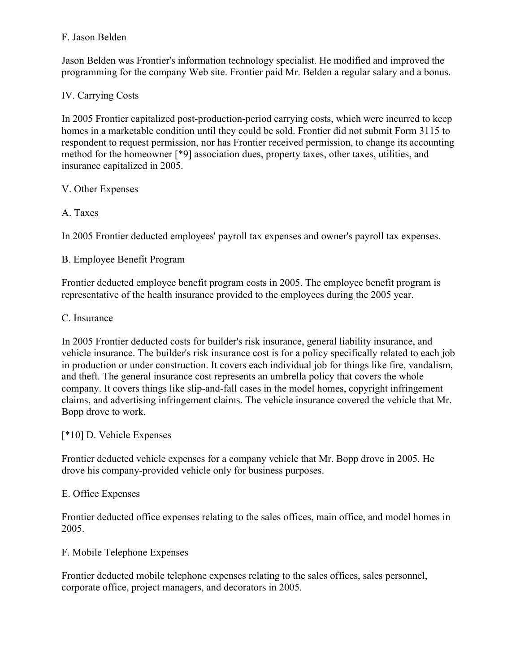## F. Jason Belden

Jason Belden was Frontier's information technology specialist. He modified and improved the programming for the company Web site. Frontier paid Mr. Belden a regular salary and a bonus.

# IV. Carrying Costs

In 2005 Frontier capitalized post-production-period carrying costs, which were incurred to keep homes in a marketable condition until they could be sold. Frontier did not submit Form 3115 to respondent to request permission, nor has Frontier received permission, to change its accounting method for the homeowner [\*9] association dues, property taxes, other taxes, utilities, and insurance capitalized in 2005.

## V. Other Expenses

# A. Taxes

In 2005 Frontier deducted employees' payroll tax expenses and owner's payroll tax expenses.

B. Employee Benefit Program

Frontier deducted employee benefit program costs in 2005. The employee benefit program is representative of the health insurance provided to the employees during the 2005 year.

## C. Insurance

In 2005 Frontier deducted costs for builder's risk insurance, general liability insurance, and vehicle insurance. The builder's risk insurance cost is for a policy specifically related to each job in production or under construction. It covers each individual job for things like fire, vandalism, and theft. The general insurance cost represents an umbrella policy that covers the whole company. It covers things like slip-and-fall cases in the model homes, copyright infringement claims, and advertising infringement claims. The vehicle insurance covered the vehicle that Mr. Bopp drove to work.

## [\*10] D. Vehicle Expenses

Frontier deducted vehicle expenses for a company vehicle that Mr. Bopp drove in 2005. He drove his company-provided vehicle only for business purposes.

## E. Office Expenses

Frontier deducted office expenses relating to the sales offices, main office, and model homes in 2005.

# F. Mobile Telephone Expenses

Frontier deducted mobile telephone expenses relating to the sales offices, sales personnel, corporate office, project managers, and decorators in 2005.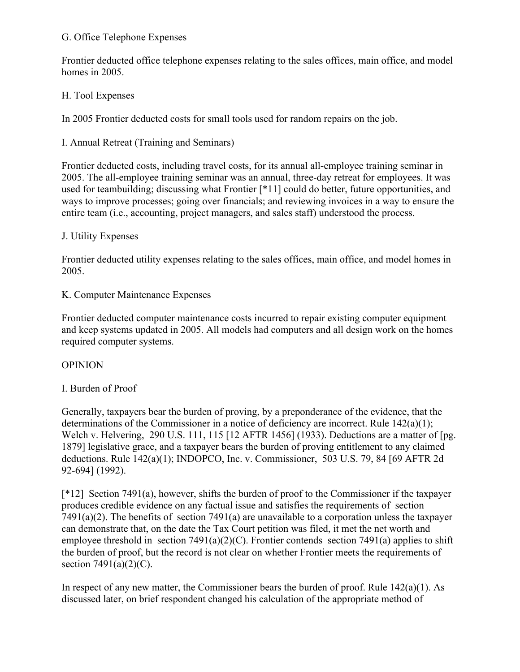#### G. Office Telephone Expenses

Frontier deducted office telephone expenses relating to the sales offices, main office, and model homes in 2005.

#### H. Tool Expenses

In 2005 Frontier deducted costs for small tools used for random repairs on the job.

I. Annual Retreat (Training and Seminars)

Frontier deducted costs, including travel costs, for its annual all-employee training seminar in 2005. The all-employee training seminar was an annual, three-day retreat for employees. It was used for teambuilding; discussing what Frontier [\*11] could do better, future opportunities, and ways to improve processes; going over financials; and reviewing invoices in a way to ensure the entire team (i.e., accounting, project managers, and sales staff) understood the process.

#### J. Utility Expenses

Frontier deducted utility expenses relating to the sales offices, main office, and model homes in 2005.

#### K. Computer Maintenance Expenses

Frontier deducted computer maintenance costs incurred to repair existing computer equipment and keep systems updated in 2005. All models had computers and all design work on the homes required computer systems.

#### **OPINION**

## I. Burden of Proof

Generally, taxpayers bear the burden of proving, by a preponderance of the evidence, that the determinations of the Commissioner in a notice of deficiency are incorrect. Rule 142(a)(1); Welch v. Helvering, 290 U.S. 111, 115 [12 AFTR 1456] (1933). Deductions are a matter of [pg. 1879] legislative grace, and a taxpayer bears the burden of proving entitlement to any claimed deductions. Rule 142(a)(1); INDOPCO, Inc. v. Commissioner, 503 U.S. 79, 84 [69 AFTR 2d 92-694] (1992).

[\*12] Section 7491(a), however, shifts the burden of proof to the Commissioner if the taxpayer produces credible evidence on any factual issue and satisfies the requirements of section 7491(a)(2). The benefits of section 7491(a) are unavailable to a corporation unless the taxpayer can demonstrate that, on the date the Tax Court petition was filed, it met the net worth and employee threshold in section  $7491(a)(2)(C)$ . Frontier contends section  $7491(a)$  applies to shift the burden of proof, but the record is not clear on whether Frontier meets the requirements of section  $7491(a)(2)(C)$ .

In respect of any new matter, the Commissioner bears the burden of proof. Rule  $142(a)(1)$ . As discussed later, on brief respondent changed his calculation of the appropriate method of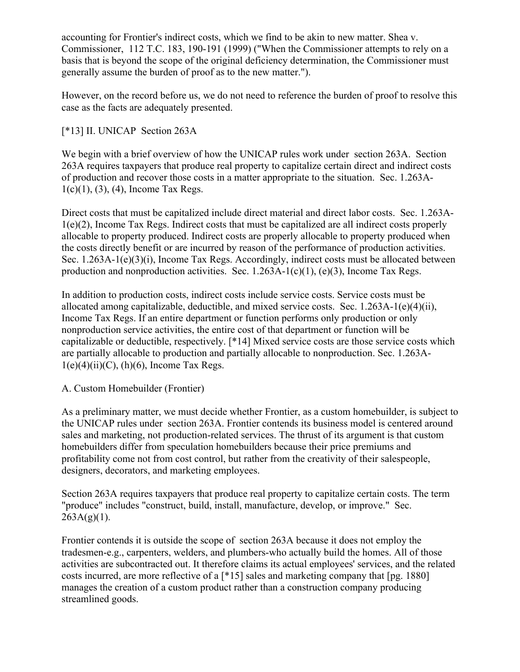accounting for Frontier's indirect costs, which we find to be akin to new matter. Shea v. Commissioner, 112 T.C. 183, 190-191 (1999) ("When the Commissioner attempts to rely on a basis that is beyond the scope of the original deficiency determination, the Commissioner must generally assume the burden of proof as to the new matter.").

However, on the record before us, we do not need to reference the burden of proof to resolve this case as the facts are adequately presented.

## [\*13] II. UNICAP Section 263A

We begin with a brief overview of how the UNICAP rules work under section 263A. Section 263A requires taxpayers that produce real property to capitalize certain direct and indirect costs of production and recover those costs in a matter appropriate to the situation. Sec. 1.263A-1(c)(1), (3), (4), Income Tax Regs.

Direct costs that must be capitalized include direct material and direct labor costs. Sec. 1.263A-1(e)(2), Income Tax Regs. Indirect costs that must be capitalized are all indirect costs properly allocable to property produced. Indirect costs are properly allocable to property produced when the costs directly benefit or are incurred by reason of the performance of production activities. Sec. 1.263A-1(e)(3)(i), Income Tax Regs. Accordingly, indirect costs must be allocated between production and nonproduction activities. Sec. 1.263A-1(c)(1), (e)(3), Income Tax Regs.

In addition to production costs, indirect costs include service costs. Service costs must be allocated among capitalizable, deductible, and mixed service costs. Sec.  $1.263A-1(e)(4)(ii)$ , Income Tax Regs. If an entire department or function performs only production or only nonproduction service activities, the entire cost of that department or function will be capitalizable or deductible, respectively. [\*14] Mixed service costs are those service costs which are partially allocable to production and partially allocable to nonproduction. Sec. 1.263A- $1(e)(4)(ii)(C)$ ,  $(h)(6)$ , Income Tax Regs.

A. Custom Homebuilder (Frontier)

As a preliminary matter, we must decide whether Frontier, as a custom homebuilder, is subject to the UNICAP rules under section 263A. Frontier contends its business model is centered around sales and marketing, not production-related services. The thrust of its argument is that custom homebuilders differ from speculation homebuilders because their price premiums and profitability come not from cost control, but rather from the creativity of their salespeople, designers, decorators, and marketing employees.

Section 263A requires taxpayers that produce real property to capitalize certain costs. The term "produce" includes "construct, build, install, manufacture, develop, or improve." Sec.  $263A(g)(1)$ .

Frontier contends it is outside the scope of section 263A because it does not employ the tradesmen-e.g., carpenters, welders, and plumbers-who actually build the homes. All of those activities are subcontracted out. It therefore claims its actual employees' services, and the related costs incurred, are more reflective of a [\*15] sales and marketing company that [pg. 1880] manages the creation of a custom product rather than a construction company producing streamlined goods.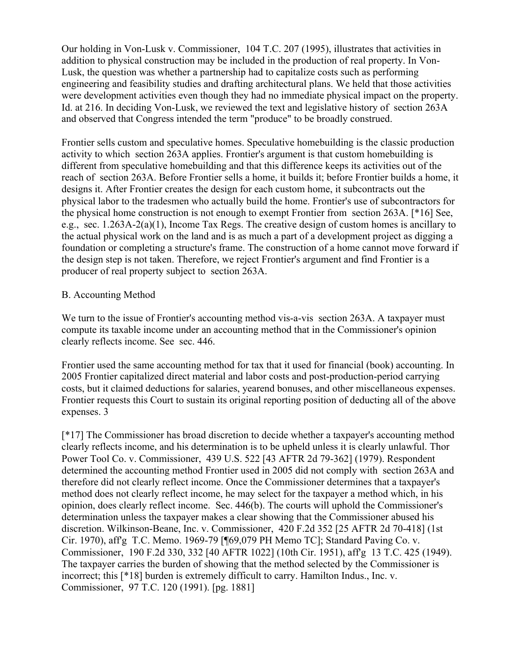Our holding in Von-Lusk v. Commissioner, 104 T.C. 207 (1995), illustrates that activities in addition to physical construction may be included in the production of real property. In Von-Lusk, the question was whether a partnership had to capitalize costs such as performing engineering and feasibility studies and drafting architectural plans. We held that those activities were development activities even though they had no immediate physical impact on the property. Id. at 216. In deciding Von-Lusk, we reviewed the text and legislative history of section 263A and observed that Congress intended the term "produce" to be broadly construed.

Frontier sells custom and speculative homes. Speculative homebuilding is the classic production activity to which section 263A applies. Frontier's argument is that custom homebuilding is different from speculative homebuilding and that this difference keeps its activities out of the reach of section 263A. Before Frontier sells a home, it builds it; before Frontier builds a home, it designs it. After Frontier creates the design for each custom home, it subcontracts out the physical labor to the tradesmen who actually build the home. Frontier's use of subcontractors for the physical home construction is not enough to exempt Frontier from section 263A. [\*16] See, e.g., sec. 1.263A-2(a)(1), Income Tax Regs. The creative design of custom homes is ancillary to the actual physical work on the land and is as much a part of a development project as digging a foundation or completing a structure's frame. The construction of a home cannot move forward if the design step is not taken. Therefore, we reject Frontier's argument and find Frontier is a producer of real property subject to section 263A.

#### B. Accounting Method

We turn to the issue of Frontier's accounting method vis-a-vis section 263A. A taxpayer must compute its taxable income under an accounting method that in the Commissioner's opinion clearly reflects income. See sec. 446.

Frontier used the same accounting method for tax that it used for financial (book) accounting. In 2005 Frontier capitalized direct material and labor costs and post-production-period carrying costs, but it claimed deductions for salaries, yearend bonuses, and other miscellaneous expenses. Frontier requests this Court to sustain its original reporting position of deducting all of the above expenses. 3

[\*17] The Commissioner has broad discretion to decide whether a taxpayer's accounting method clearly reflects income, and his determination is to be upheld unless it is clearly unlawful. Thor Power Tool Co. v. Commissioner, 439 U.S. 522 [43 AFTR 2d 79-362] (1979). Respondent determined the accounting method Frontier used in 2005 did not comply with section 263A and therefore did not clearly reflect income. Once the Commissioner determines that a taxpayer's method does not clearly reflect income, he may select for the taxpayer a method which, in his opinion, does clearly reflect income. Sec. 446(b). The courts will uphold the Commissioner's determination unless the taxpayer makes a clear showing that the Commissioner abused his discretion. Wilkinson-Beane, Inc. v. Commissioner, 420 F.2d 352 [25 AFTR 2d 70-418] (1st Cir. 1970), aff'g T.C. Memo. 1969-79 [¶69,079 PH Memo TC]; Standard Paving Co. v. Commissioner, 190 F.2d 330, 332 [40 AFTR 1022] (10th Cir. 1951), aff'g 13 T.C. 425 (1949). The taxpayer carries the burden of showing that the method selected by the Commissioner is incorrect; this [\*18] burden is extremely difficult to carry. Hamilton Indus., Inc. v. Commissioner, 97 T.C. 120 (1991). [pg. 1881]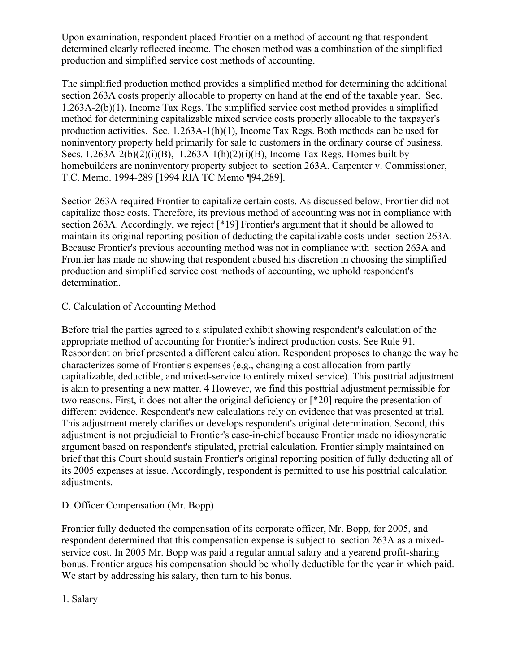Upon examination, respondent placed Frontier on a method of accounting that respondent determined clearly reflected income. The chosen method was a combination of the simplified production and simplified service cost methods of accounting.

The simplified production method provides a simplified method for determining the additional section 263A costs properly allocable to property on hand at the end of the taxable year. Sec. 1.263A-2(b)(1), Income Tax Regs. The simplified service cost method provides a simplified method for determining capitalizable mixed service costs properly allocable to the taxpayer's production activities. Sec. 1.263A-1(h)(1), Income Tax Regs. Both methods can be used for noninventory property held primarily for sale to customers in the ordinary course of business. Secs.  $1.263A-2(b)(2)(i)(B)$ ,  $1.263A-1(h)(2)(i)(B)$ , Income Tax Regs. Homes built by homebuilders are noninventory property subject to section 263A. Carpenter v. Commissioner, T.C. Memo. 1994-289 [1994 RIA TC Memo ¶94,289].

Section 263A required Frontier to capitalize certain costs. As discussed below, Frontier did not capitalize those costs. Therefore, its previous method of accounting was not in compliance with section 263A. Accordingly, we reject [\*19] Frontier's argument that it should be allowed to maintain its original reporting position of deducting the capitalizable costs under section 263A. Because Frontier's previous accounting method was not in compliance with section 263A and Frontier has made no showing that respondent abused his discretion in choosing the simplified production and simplified service cost methods of accounting, we uphold respondent's determination.

#### C. Calculation of Accounting Method

Before trial the parties agreed to a stipulated exhibit showing respondent's calculation of the appropriate method of accounting for Frontier's indirect production costs. See Rule 91. Respondent on brief presented a different calculation. Respondent proposes to change the way he characterizes some of Frontier's expenses (e.g., changing a cost allocation from partly capitalizable, deductible, and mixed-service to entirely mixed service). This posttrial adjustment is akin to presenting a new matter. 4 However, we find this posttrial adjustment permissible for two reasons. First, it does not alter the original deficiency or [\*20] require the presentation of different evidence. Respondent's new calculations rely on evidence that was presented at trial. This adjustment merely clarifies or develops respondent's original determination. Second, this adjustment is not prejudicial to Frontier's case-in-chief because Frontier made no idiosyncratic argument based on respondent's stipulated, pretrial calculation. Frontier simply maintained on brief that this Court should sustain Frontier's original reporting position of fully deducting all of its 2005 expenses at issue. Accordingly, respondent is permitted to use his posttrial calculation adjustments.

## D. Officer Compensation (Mr. Bopp)

Frontier fully deducted the compensation of its corporate officer, Mr. Bopp, for 2005, and respondent determined that this compensation expense is subject to section 263A as a mixedservice cost. In 2005 Mr. Bopp was paid a regular annual salary and a yearend profit-sharing bonus. Frontier argues his compensation should be wholly deductible for the year in which paid. We start by addressing his salary, then turn to his bonus.

1. Salary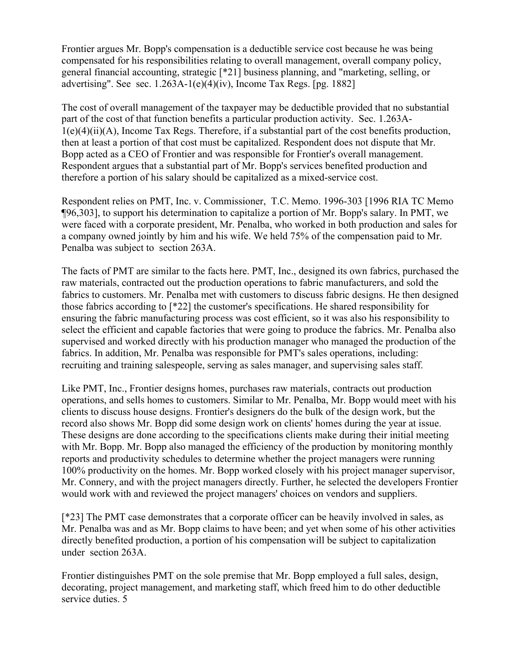Frontier argues Mr. Bopp's compensation is a deductible service cost because he was being compensated for his responsibilities relating to overall management, overall company policy, general financial accounting, strategic [\*21] business planning, and "marketing, selling, or advertising". See sec.  $1.263A-1(e)(4)(iv)$ , Income Tax Regs. [pg. 1882]

The cost of overall management of the taxpayer may be deductible provided that no substantial part of the cost of that function benefits a particular production activity. Sec. 1.263A-1(e)(4)(ii)(A), Income Tax Regs. Therefore, if a substantial part of the cost benefits production, then at least a portion of that cost must be capitalized. Respondent does not dispute that Mr. Bopp acted as a CEO of Frontier and was responsible for Frontier's overall management. Respondent argues that a substantial part of Mr. Bopp's services benefited production and therefore a portion of his salary should be capitalized as a mixed-service cost.

Respondent relies on PMT, Inc. v. Commissioner, T.C. Memo. 1996-303 [1996 RIA TC Memo ¶96,303], to support his determination to capitalize a portion of Mr. Bopp's salary. In PMT, we were faced with a corporate president, Mr. Penalba, who worked in both production and sales for a company owned jointly by him and his wife. We held 75% of the compensation paid to Mr. Penalba was subject to section 263A.

The facts of PMT are similar to the facts here. PMT, Inc., designed its own fabrics, purchased the raw materials, contracted out the production operations to fabric manufacturers, and sold the fabrics to customers. Mr. Penalba met with customers to discuss fabric designs. He then designed those fabrics according to [\*22] the customer's specifications. He shared responsibility for ensuring the fabric manufacturing process was cost efficient, so it was also his responsibility to select the efficient and capable factories that were going to produce the fabrics. Mr. Penalba also supervised and worked directly with his production manager who managed the production of the fabrics. In addition, Mr. Penalba was responsible for PMT's sales operations, including: recruiting and training salespeople, serving as sales manager, and supervising sales staff.

Like PMT, Inc., Frontier designs homes, purchases raw materials, contracts out production operations, and sells homes to customers. Similar to Mr. Penalba, Mr. Bopp would meet with his clients to discuss house designs. Frontier's designers do the bulk of the design work, but the record also shows Mr. Bopp did some design work on clients' homes during the year at issue. These designs are done according to the specifications clients make during their initial meeting with Mr. Bopp. Mr. Bopp also managed the efficiency of the production by monitoring monthly reports and productivity schedules to determine whether the project managers were running 100% productivity on the homes. Mr. Bopp worked closely with his project manager supervisor, Mr. Connery, and with the project managers directly. Further, he selected the developers Frontier would work with and reviewed the project managers' choices on vendors and suppliers.

[\*23] The PMT case demonstrates that a corporate officer can be heavily involved in sales, as Mr. Penalba was and as Mr. Bopp claims to have been; and yet when some of his other activities directly benefited production, a portion of his compensation will be subject to capitalization under section 263A.

Frontier distinguishes PMT on the sole premise that Mr. Bopp employed a full sales, design, decorating, project management, and marketing staff, which freed him to do other deductible service duties. 5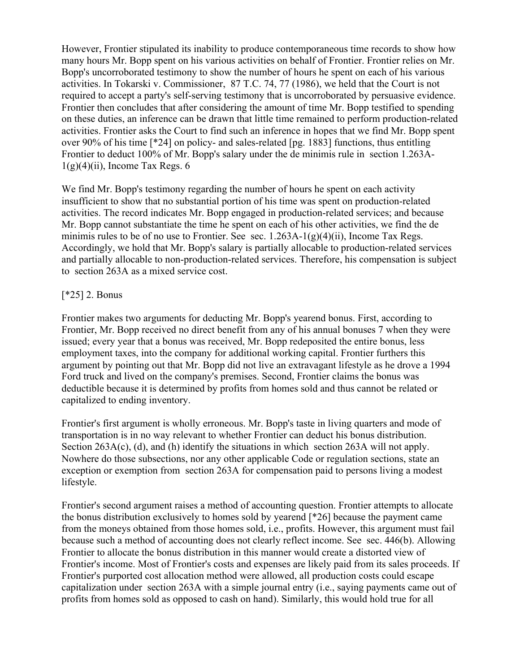However, Frontier stipulated its inability to produce contemporaneous time records to show how many hours Mr. Bopp spent on his various activities on behalf of Frontier. Frontier relies on Mr. Bopp's uncorroborated testimony to show the number of hours he spent on each of his various activities. In Tokarski v. Commissioner, 87 T.C. 74, 77 (1986), we held that the Court is not required to accept a party's self-serving testimony that is uncorroborated by persuasive evidence. Frontier then concludes that after considering the amount of time Mr. Bopp testified to spending on these duties, an inference can be drawn that little time remained to perform production-related activities. Frontier asks the Court to find such an inference in hopes that we find Mr. Bopp spent over 90% of his time [\*24] on policy- and sales-related [pg. 1883] functions, thus entitling Frontier to deduct 100% of Mr. Bopp's salary under the de minimis rule in section 1.263A- $1(g)(4)(ii)$ , Income Tax Regs. 6

We find Mr. Bopp's testimony regarding the number of hours he spent on each activity insufficient to show that no substantial portion of his time was spent on production-related activities. The record indicates Mr. Bopp engaged in production-related services; and because Mr. Bopp cannot substantiate the time he spent on each of his other activities, we find the de minimis rules to be of no use to Frontier. See sec.  $1.263A-1(g)(4)(ii)$ , Income Tax Regs. Accordingly, we hold that Mr. Bopp's salary is partially allocable to production-related services and partially allocable to non-production-related services. Therefore, his compensation is subject to section 263A as a mixed service cost.

## [\*25] 2. Bonus

Frontier makes two arguments for deducting Mr. Bopp's yearend bonus. First, according to Frontier, Mr. Bopp received no direct benefit from any of his annual bonuses 7 when they were issued; every year that a bonus was received, Mr. Bopp redeposited the entire bonus, less employment taxes, into the company for additional working capital. Frontier furthers this argument by pointing out that Mr. Bopp did not live an extravagant lifestyle as he drove a 1994 Ford truck and lived on the company's premises. Second, Frontier claims the bonus was deductible because it is determined by profits from homes sold and thus cannot be related or capitalized to ending inventory.

Frontier's first argument is wholly erroneous. Mr. Bopp's taste in living quarters and mode of transportation is in no way relevant to whether Frontier can deduct his bonus distribution. Section 263A(c), (d), and (h) identify the situations in which section 263A will not apply. Nowhere do those subsections, nor any other applicable Code or regulation sections, state an exception or exemption from section 263A for compensation paid to persons living a modest lifestyle.

Frontier's second argument raises a method of accounting question. Frontier attempts to allocate the bonus distribution exclusively to homes sold by yearend [\*26] because the payment came from the moneys obtained from those homes sold, i.e., profits. However, this argument must fail because such a method of accounting does not clearly reflect income. See sec. 446(b). Allowing Frontier to allocate the bonus distribution in this manner would create a distorted view of Frontier's income. Most of Frontier's costs and expenses are likely paid from its sales proceeds. If Frontier's purported cost allocation method were allowed, all production costs could escape capitalization under section 263A with a simple journal entry (i.e., saying payments came out of profits from homes sold as opposed to cash on hand). Similarly, this would hold true for all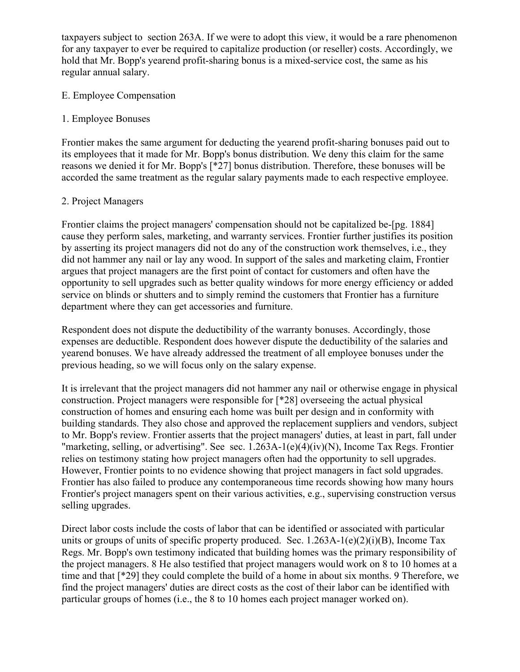taxpayers subject to section 263A. If we were to adopt this view, it would be a rare phenomenon for any taxpayer to ever be required to capitalize production (or reseller) costs. Accordingly, we hold that Mr. Bopp's yearend profit-sharing bonus is a mixed-service cost, the same as his regular annual salary.

## E. Employee Compensation

#### 1. Employee Bonuses

Frontier makes the same argument for deducting the yearend profit-sharing bonuses paid out to its employees that it made for Mr. Bopp's bonus distribution. We deny this claim for the same reasons we denied it for Mr. Bopp's [\*27] bonus distribution. Therefore, these bonuses will be accorded the same treatment as the regular salary payments made to each respective employee.

#### 2. Project Managers

Frontier claims the project managers' compensation should not be capitalized be-[pg. 1884] cause they perform sales, marketing, and warranty services. Frontier further justifies its position by asserting its project managers did not do any of the construction work themselves, i.e., they did not hammer any nail or lay any wood. In support of the sales and marketing claim, Frontier argues that project managers are the first point of contact for customers and often have the opportunity to sell upgrades such as better quality windows for more energy efficiency or added service on blinds or shutters and to simply remind the customers that Frontier has a furniture department where they can get accessories and furniture.

Respondent does not dispute the deductibility of the warranty bonuses. Accordingly, those expenses are deductible. Respondent does however dispute the deductibility of the salaries and yearend bonuses. We have already addressed the treatment of all employee bonuses under the previous heading, so we will focus only on the salary expense.

It is irrelevant that the project managers did not hammer any nail or otherwise engage in physical construction. Project managers were responsible for [\*28] overseeing the actual physical construction of homes and ensuring each home was built per design and in conformity with building standards. They also chose and approved the replacement suppliers and vendors, subject to Mr. Bopp's review. Frontier asserts that the project managers' duties, at least in part, fall under "marketing, selling, or advertising". See sec. 1.263A-1(e)(4)(iv)(N), Income Tax Regs. Frontier relies on testimony stating how project managers often had the opportunity to sell upgrades. However, Frontier points to no evidence showing that project managers in fact sold upgrades. Frontier has also failed to produce any contemporaneous time records showing how many hours Frontier's project managers spent on their various activities, e.g., supervising construction versus selling upgrades.

Direct labor costs include the costs of labor that can be identified or associated with particular units or groups of units of specific property produced. Sec.  $1.263A-1(e)(2)(i)(B)$ , Income Tax Regs. Mr. Bopp's own testimony indicated that building homes was the primary responsibility of the project managers. 8 He also testified that project managers would work on 8 to 10 homes at a time and that [\*29] they could complete the build of a home in about six months. 9 Therefore, we find the project managers' duties are direct costs as the cost of their labor can be identified with particular groups of homes (i.e., the 8 to 10 homes each project manager worked on).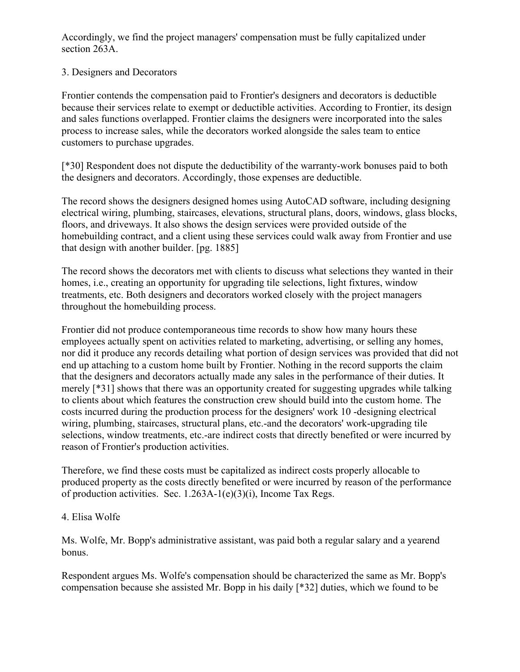Accordingly, we find the project managers' compensation must be fully capitalized under section 263A.

## 3. Designers and Decorators

Frontier contends the compensation paid to Frontier's designers and decorators is deductible because their services relate to exempt or deductible activities. According to Frontier, its design and sales functions overlapped. Frontier claims the designers were incorporated into the sales process to increase sales, while the decorators worked alongside the sales team to entice customers to purchase upgrades.

[\*30] Respondent does not dispute the deductibility of the warranty-work bonuses paid to both the designers and decorators. Accordingly, those expenses are deductible.

The record shows the designers designed homes using AutoCAD software, including designing electrical wiring, plumbing, staircases, elevations, structural plans, doors, windows, glass blocks, floors, and driveways. It also shows the design services were provided outside of the homebuilding contract, and a client using these services could walk away from Frontier and use that design with another builder. [pg. 1885]

The record shows the decorators met with clients to discuss what selections they wanted in their homes, i.e., creating an opportunity for upgrading tile selections, light fixtures, window treatments, etc. Both designers and decorators worked closely with the project managers throughout the homebuilding process.

Frontier did not produce contemporaneous time records to show how many hours these employees actually spent on activities related to marketing, advertising, or selling any homes, nor did it produce any records detailing what portion of design services was provided that did not end up attaching to a custom home built by Frontier. Nothing in the record supports the claim that the designers and decorators actually made any sales in the performance of their duties. It merely [\*31] shows that there was an opportunity created for suggesting upgrades while talking to clients about which features the construction crew should build into the custom home. The costs incurred during the production process for the designers' work 10 -designing electrical wiring, plumbing, staircases, structural plans, etc.-and the decorators' work-upgrading tile selections, window treatments, etc.-are indirect costs that directly benefited or were incurred by reason of Frontier's production activities.

Therefore, we find these costs must be capitalized as indirect costs properly allocable to produced property as the costs directly benefited or were incurred by reason of the performance of production activities. Sec. 1.263A-1(e)(3)(i), Income Tax Regs.

## 4. Elisa Wolfe

Ms. Wolfe, Mr. Bopp's administrative assistant, was paid both a regular salary and a yearend bonus.

Respondent argues Ms. Wolfe's compensation should be characterized the same as Mr. Bopp's compensation because she assisted Mr. Bopp in his daily [\*32] duties, which we found to be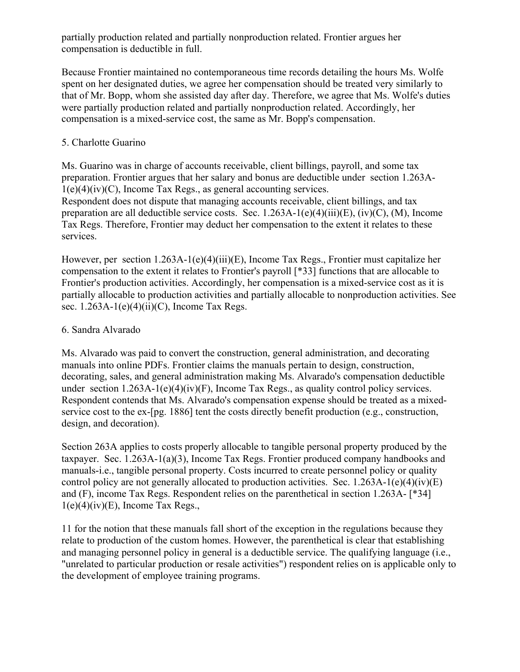partially production related and partially nonproduction related. Frontier argues her compensation is deductible in full.

Because Frontier maintained no contemporaneous time records detailing the hours Ms. Wolfe spent on her designated duties, we agree her compensation should be treated very similarly to that of Mr. Bopp, whom she assisted day after day. Therefore, we agree that Ms. Wolfe's duties were partially production related and partially nonproduction related. Accordingly, her compensation is a mixed-service cost, the same as Mr. Bopp's compensation.

## 5. Charlotte Guarino

Ms. Guarino was in charge of accounts receivable, client billings, payroll, and some tax preparation. Frontier argues that her salary and bonus are deductible under section 1.263A- $1(e)(4)(iv)(C)$ , Income Tax Regs., as general accounting services. Respondent does not dispute that managing accounts receivable, client billings, and tax preparation are all deductible service costs. Sec. 1.263A-1(e)(4)(iii)(E), (iv)(C), (M), Income Tax Regs. Therefore, Frontier may deduct her compensation to the extent it relates to these services.

However, per section 1.263A-1(e)(4)(iii)(E), Income Tax Regs., Frontier must capitalize her compensation to the extent it relates to Frontier's payroll [\*33] functions that are allocable to Frontier's production activities. Accordingly, her compensation is a mixed-service cost as it is partially allocable to production activities and partially allocable to nonproduction activities. See sec.  $1.263A-1(e)(4)(ii)(C)$ , Income Tax Regs.

## 6. Sandra Alvarado

Ms. Alvarado was paid to convert the construction, general administration, and decorating manuals into online PDFs. Frontier claims the manuals pertain to design, construction, decorating, sales, and general administration making Ms. Alvarado's compensation deductible under section  $1.263A-1(e)(4)(iv)(F)$ , Income Tax Regs., as quality control policy services. Respondent contends that Ms. Alvarado's compensation expense should be treated as a mixedservice cost to the ex-[pg. 1886] tent the costs directly benefit production (e.g., construction, design, and decoration).

Section 263A applies to costs properly allocable to tangible personal property produced by the taxpayer. Sec. 1.263A-1(a)(3), Income Tax Regs. Frontier produced company handbooks and manuals-i.e., tangible personal property. Costs incurred to create personnel policy or quality control policy are not generally allocated to production activities. Sec.  $1.263A-1(e)(4)(iv)(E)$ and (F), income Tax Regs. Respondent relies on the parenthetical in section 1.263A- [\*34]  $1(e)(4)(iv)(E)$ , Income Tax Regs.,

11 for the notion that these manuals fall short of the exception in the regulations because they relate to production of the custom homes. However, the parenthetical is clear that establishing and managing personnel policy in general is a deductible service. The qualifying language (i.e., "unrelated to particular production or resale activities") respondent relies on is applicable only to the development of employee training programs.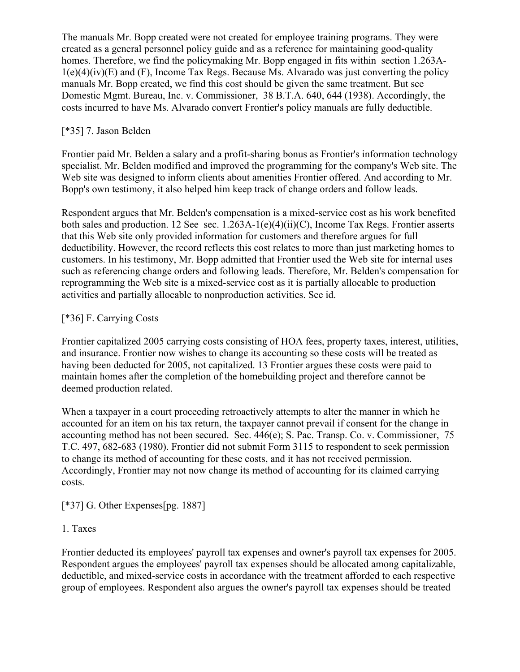The manuals Mr. Bopp created were not created for employee training programs. They were created as a general personnel policy guide and as a reference for maintaining good-quality homes. Therefore, we find the policymaking Mr. Bopp engaged in fits within section 1.263A- $1(e)(4)(iv)(E)$  and  $(F)$ , Income Tax Regs. Because Ms. Alvarado was just converting the policy manuals Mr. Bopp created, we find this cost should be given the same treatment. But see Domestic Mgmt. Bureau, Inc. v. Commissioner, 38 B.T.A. 640, 644 (1938). Accordingly, the costs incurred to have Ms. Alvarado convert Frontier's policy manuals are fully deductible.

## [\*35] 7. Jason Belden

Frontier paid Mr. Belden a salary and a profit-sharing bonus as Frontier's information technology specialist. Mr. Belden modified and improved the programming for the company's Web site. The Web site was designed to inform clients about amenities Frontier offered. And according to Mr. Bopp's own testimony, it also helped him keep track of change orders and follow leads.

Respondent argues that Mr. Belden's compensation is a mixed-service cost as his work benefited both sales and production. 12 See sec. 1.263A-1(e)(4)(ii)(C), Income Tax Regs. Frontier asserts that this Web site only provided information for customers and therefore argues for full deductibility. However, the record reflects this cost relates to more than just marketing homes to customers. In his testimony, Mr. Bopp admitted that Frontier used the Web site for internal uses such as referencing change orders and following leads. Therefore, Mr. Belden's compensation for reprogramming the Web site is a mixed-service cost as it is partially allocable to production activities and partially allocable to nonproduction activities. See id.

## [\*36] F. Carrying Costs

Frontier capitalized 2005 carrying costs consisting of HOA fees, property taxes, interest, utilities, and insurance. Frontier now wishes to change its accounting so these costs will be treated as having been deducted for 2005, not capitalized. 13 Frontier argues these costs were paid to maintain homes after the completion of the homebuilding project and therefore cannot be deemed production related.

When a taxpayer in a court proceeding retroactively attempts to alter the manner in which he accounted for an item on his tax return, the taxpayer cannot prevail if consent for the change in accounting method has not been secured. Sec. 446(e); S. Pac. Transp. Co. v. Commissioner, 75 T.C. 497, 682-683 (1980). Frontier did not submit Form 3115 to respondent to seek permission to change its method of accounting for these costs, and it has not received permission. Accordingly, Frontier may not now change its method of accounting for its claimed carrying costs.

[\*37] G. Other Expenses[pg. 1887]

## 1. Taxes

Frontier deducted its employees' payroll tax expenses and owner's payroll tax expenses for 2005. Respondent argues the employees' payroll tax expenses should be allocated among capitalizable, deductible, and mixed-service costs in accordance with the treatment afforded to each respective group of employees. Respondent also argues the owner's payroll tax expenses should be treated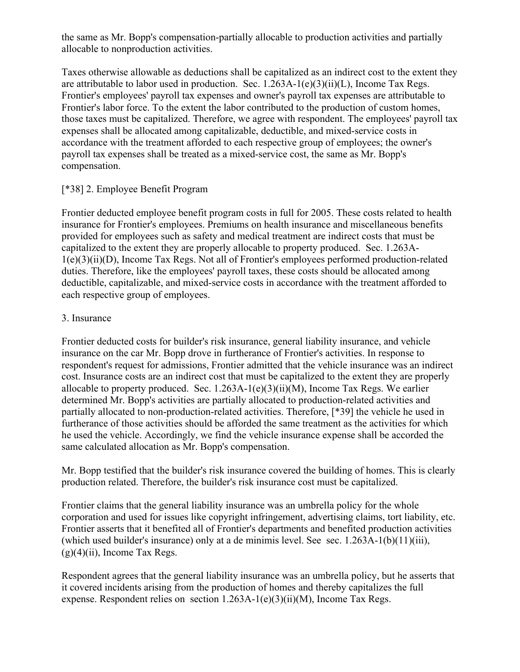the same as Mr. Bopp's compensation-partially allocable to production activities and partially allocable to nonproduction activities.

Taxes otherwise allowable as deductions shall be capitalized as an indirect cost to the extent they are attributable to labor used in production. Sec. 1.263A-1(e)(3)(ii)(L), Income Tax Regs. Frontier's employees' payroll tax expenses and owner's payroll tax expenses are attributable to Frontier's labor force. To the extent the labor contributed to the production of custom homes, those taxes must be capitalized. Therefore, we agree with respondent. The employees' payroll tax expenses shall be allocated among capitalizable, deductible, and mixed-service costs in accordance with the treatment afforded to each respective group of employees; the owner's payroll tax expenses shall be treated as a mixed-service cost, the same as Mr. Bopp's compensation.

## [\*38] 2. Employee Benefit Program

Frontier deducted employee benefit program costs in full for 2005. These costs related to health insurance for Frontier's employees. Premiums on health insurance and miscellaneous benefits provided for employees such as safety and medical treatment are indirect costs that must be capitalized to the extent they are properly allocable to property produced. Sec. 1.263A-1(e)(3)(ii)(D), Income Tax Regs. Not all of Frontier's employees performed production-related duties. Therefore, like the employees' payroll taxes, these costs should be allocated among deductible, capitalizable, and mixed-service costs in accordance with the treatment afforded to each respective group of employees.

## 3. Insurance

Frontier deducted costs for builder's risk insurance, general liability insurance, and vehicle insurance on the car Mr. Bopp drove in furtherance of Frontier's activities. In response to respondent's request for admissions, Frontier admitted that the vehicle insurance was an indirect cost. Insurance costs are an indirect cost that must be capitalized to the extent they are properly allocable to property produced. Sec.  $1.263A-1(e)(3)(ii)(M)$ , Income Tax Regs. We earlier determined Mr. Bopp's activities are partially allocated to production-related activities and partially allocated to non-production-related activities. Therefore, [\*39] the vehicle he used in furtherance of those activities should be afforded the same treatment as the activities for which he used the vehicle. Accordingly, we find the vehicle insurance expense shall be accorded the same calculated allocation as Mr. Bopp's compensation.

Mr. Bopp testified that the builder's risk insurance covered the building of homes. This is clearly production related. Therefore, the builder's risk insurance cost must be capitalized.

Frontier claims that the general liability insurance was an umbrella policy for the whole corporation and used for issues like copyright infringement, advertising claims, tort liability, etc. Frontier asserts that it benefited all of Frontier's departments and benefited production activities (which used builder's insurance) only at a de minimis level. See sec.  $1.263A-1(b)(11)(iii)$ ,  $(g)(4)(ii)$ , Income Tax Regs.

Respondent agrees that the general liability insurance was an umbrella policy, but he asserts that it covered incidents arising from the production of homes and thereby capitalizes the full expense. Respondent relies on section 1.263A-1(e)(3)(ii)(M), Income Tax Regs.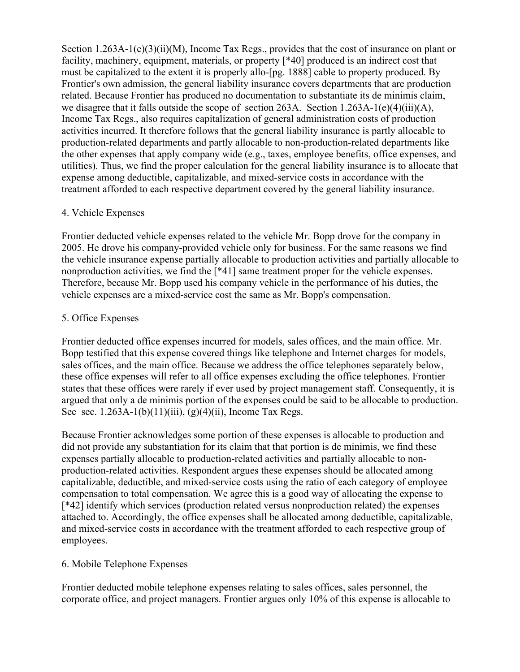Section 1.263A-1(e)(3)(ii)(M), Income Tax Regs., provides that the cost of insurance on plant or facility, machinery, equipment, materials, or property [\*40] produced is an indirect cost that must be capitalized to the extent it is properly allo-[pg. 1888] cable to property produced. By Frontier's own admission, the general liability insurance covers departments that are production related. Because Frontier has produced no documentation to substantiate its de minimis claim, we disagree that it falls outside the scope of section 263A. Section 1.263A-1(e)(4)(iii)(A), Income Tax Regs., also requires capitalization of general administration costs of production activities incurred. It therefore follows that the general liability insurance is partly allocable to production-related departments and partly allocable to non-production-related departments like the other expenses that apply company wide (e.g., taxes, employee benefits, office expenses, and utilities). Thus, we find the proper calculation for the general liability insurance is to allocate that expense among deductible, capitalizable, and mixed-service costs in accordance with the treatment afforded to each respective department covered by the general liability insurance.

## 4. Vehicle Expenses

Frontier deducted vehicle expenses related to the vehicle Mr. Bopp drove for the company in 2005. He drove his company-provided vehicle only for business. For the same reasons we find the vehicle insurance expense partially allocable to production activities and partially allocable to nonproduction activities, we find the [\*41] same treatment proper for the vehicle expenses. Therefore, because Mr. Bopp used his company vehicle in the performance of his duties, the vehicle expenses are a mixed-service cost the same as Mr. Bopp's compensation.

## 5. Office Expenses

Frontier deducted office expenses incurred for models, sales offices, and the main office. Mr. Bopp testified that this expense covered things like telephone and Internet charges for models, sales offices, and the main office. Because we address the office telephones separately below, these office expenses will refer to all office expenses excluding the office telephones. Frontier states that these offices were rarely if ever used by project management staff. Consequently, it is argued that only a de minimis portion of the expenses could be said to be allocable to production. See sec.  $1.263A-1(b)(11)(iii)$ , (g)(4)(ii), Income Tax Regs.

Because Frontier acknowledges some portion of these expenses is allocable to production and did not provide any substantiation for its claim that that portion is de minimis, we find these expenses partially allocable to production-related activities and partially allocable to nonproduction-related activities. Respondent argues these expenses should be allocated among capitalizable, deductible, and mixed-service costs using the ratio of each category of employee compensation to total compensation. We agree this is a good way of allocating the expense to [\*42] identify which services (production related versus nonproduction related) the expenses attached to. Accordingly, the office expenses shall be allocated among deductible, capitalizable, and mixed-service costs in accordance with the treatment afforded to each respective group of employees.

# 6. Mobile Telephone Expenses

Frontier deducted mobile telephone expenses relating to sales offices, sales personnel, the corporate office, and project managers. Frontier argues only 10% of this expense is allocable to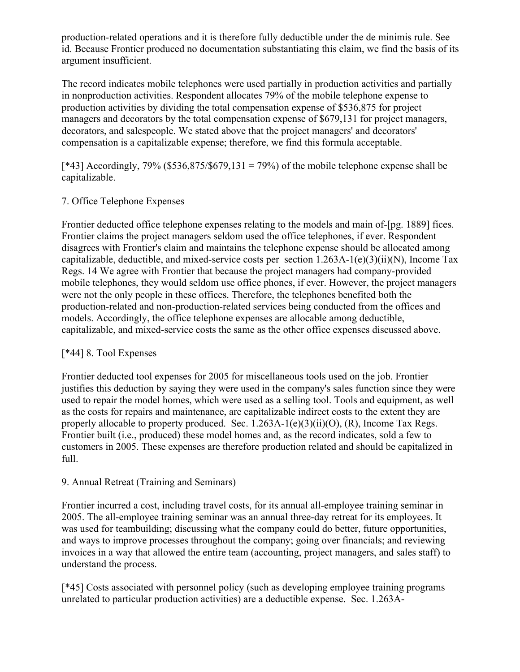production-related operations and it is therefore fully deductible under the de minimis rule. See id. Because Frontier produced no documentation substantiating this claim, we find the basis of its argument insufficient.

The record indicates mobile telephones were used partially in production activities and partially in nonproduction activities. Respondent allocates 79% of the mobile telephone expense to production activities by dividing the total compensation expense of \$536,875 for project managers and decorators by the total compensation expense of \$679,131 for project managers, decorators, and salespeople. We stated above that the project managers' and decorators' compensation is a capitalizable expense; therefore, we find this formula acceptable.

 $[43]$  Accordingly, 79% (\$536,875/\$679,131 = 79%) of the mobile telephone expense shall be capitalizable.

## 7. Office Telephone Expenses

Frontier deducted office telephone expenses relating to the models and main of-[pg. 1889] fices. Frontier claims the project managers seldom used the office telephones, if ever. Respondent disagrees with Frontier's claim and maintains the telephone expense should be allocated among capitalizable, deductible, and mixed-service costs per section 1.263A-1(e)(3)(ii)(N), Income Tax Regs. 14 We agree with Frontier that because the project managers had company-provided mobile telephones, they would seldom use office phones, if ever. However, the project managers were not the only people in these offices. Therefore, the telephones benefited both the production-related and non-production-related services being conducted from the offices and models. Accordingly, the office telephone expenses are allocable among deductible, capitalizable, and mixed-service costs the same as the other office expenses discussed above.

# [\*44] 8. Tool Expenses

Frontier deducted tool expenses for 2005 for miscellaneous tools used on the job. Frontier justifies this deduction by saying they were used in the company's sales function since they were used to repair the model homes, which were used as a selling tool. Tools and equipment, as well as the costs for repairs and maintenance, are capitalizable indirect costs to the extent they are properly allocable to property produced. Sec.  $1.263A-1(e)(3)(ii)(O)$ , (R), Income Tax Regs. Frontier built (i.e., produced) these model homes and, as the record indicates, sold a few to customers in 2005. These expenses are therefore production related and should be capitalized in full.

## 9. Annual Retreat (Training and Seminars)

Frontier incurred a cost, including travel costs, for its annual all-employee training seminar in 2005. The all-employee training seminar was an annual three-day retreat for its employees. It was used for teambuilding; discussing what the company could do better, future opportunities, and ways to improve processes throughout the company; going over financials; and reviewing invoices in a way that allowed the entire team (accounting, project managers, and sales staff) to understand the process.

[\*45] Costs associated with personnel policy (such as developing employee training programs unrelated to particular production activities) are a deductible expense. Sec. 1.263A-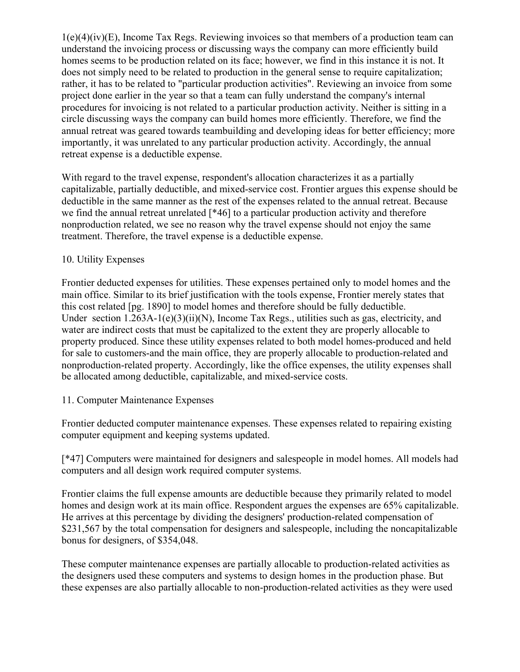1(e)(4)(iv)(E), Income Tax Regs. Reviewing invoices so that members of a production team can understand the invoicing process or discussing ways the company can more efficiently build homes seems to be production related on its face; however, we find in this instance it is not. It does not simply need to be related to production in the general sense to require capitalization; rather, it has to be related to "particular production activities". Reviewing an invoice from some project done earlier in the year so that a team can fully understand the company's internal procedures for invoicing is not related to a particular production activity. Neither is sitting in a circle discussing ways the company can build homes more efficiently. Therefore, we find the annual retreat was geared towards teambuilding and developing ideas for better efficiency; more importantly, it was unrelated to any particular production activity. Accordingly, the annual retreat expense is a deductible expense.

With regard to the travel expense, respondent's allocation characterizes it as a partially capitalizable, partially deductible, and mixed-service cost. Frontier argues this expense should be deductible in the same manner as the rest of the expenses related to the annual retreat. Because we find the annual retreat unrelated [\*46] to a particular production activity and therefore nonproduction related, we see no reason why the travel expense should not enjoy the same treatment. Therefore, the travel expense is a deductible expense.

## 10. Utility Expenses

Frontier deducted expenses for utilities. These expenses pertained only to model homes and the main office. Similar to its brief justification with the tools expense, Frontier merely states that this cost related [pg. 1890] to model homes and therefore should be fully deductible. Under section 1.263A-1(e)(3)(ii)(N), Income Tax Regs., utilities such as gas, electricity, and water are indirect costs that must be capitalized to the extent they are properly allocable to property produced. Since these utility expenses related to both model homes-produced and held for sale to customers-and the main office, they are properly allocable to production-related and nonproduction-related property. Accordingly, like the office expenses, the utility expenses shall be allocated among deductible, capitalizable, and mixed-service costs.

#### 11. Computer Maintenance Expenses

Frontier deducted computer maintenance expenses. These expenses related to repairing existing computer equipment and keeping systems updated.

[\*47] Computers were maintained for designers and salespeople in model homes. All models had computers and all design work required computer systems.

Frontier claims the full expense amounts are deductible because they primarily related to model homes and design work at its main office. Respondent argues the expenses are 65% capitalizable. He arrives at this percentage by dividing the designers' production-related compensation of \$231,567 by the total compensation for designers and salespeople, including the noncapitalizable bonus for designers, of \$354,048.

These computer maintenance expenses are partially allocable to production-related activities as the designers used these computers and systems to design homes in the production phase. But these expenses are also partially allocable to non-production-related activities as they were used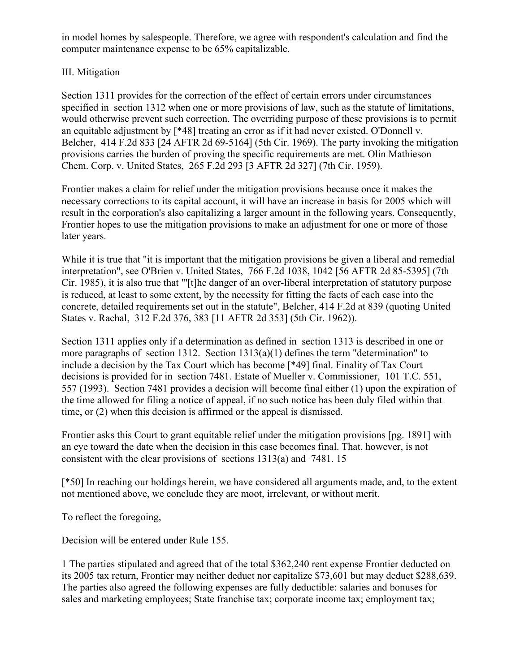in model homes by salespeople. Therefore, we agree with respondent's calculation and find the computer maintenance expense to be 65% capitalizable.

## III. Mitigation

Section 1311 provides for the correction of the effect of certain errors under circumstances specified in section 1312 when one or more provisions of law, such as the statute of limitations, would otherwise prevent such correction. The overriding purpose of these provisions is to permit an equitable adjustment by [\*48] treating an error as if it had never existed. O'Donnell v. Belcher, 414 F.2d 833 [24 AFTR 2d 69-5164] (5th Cir. 1969). The party invoking the mitigation provisions carries the burden of proving the specific requirements are met. Olin Mathieson Chem. Corp. v. United States, 265 F.2d 293 [3 AFTR 2d 327] (7th Cir. 1959).

Frontier makes a claim for relief under the mitigation provisions because once it makes the necessary corrections to its capital account, it will have an increase in basis for 2005 which will result in the corporation's also capitalizing a larger amount in the following years. Consequently, Frontier hopes to use the mitigation provisions to make an adjustment for one or more of those later years.

While it is true that "it is important that the mitigation provisions be given a liberal and remedial interpretation", see O'Brien v. United States, 766 F.2d 1038, 1042 [56 AFTR 2d 85-5395] (7th Cir. 1985), it is also true that "'[t]he danger of an over-liberal interpretation of statutory purpose is reduced, at least to some extent, by the necessity for fitting the facts of each case into the concrete, detailed requirements set out in the statute", Belcher, 414 F.2d at 839 (quoting United States v. Rachal, 312 F.2d 376, 383 [11 AFTR 2d 353] (5th Cir. 1962)).

Section 1311 applies only if a determination as defined in section 1313 is described in one or more paragraphs of section 1312. Section  $1313(a)(1)$  defines the term "determination" to include a decision by the Tax Court which has become [\*49] final. Finality of Tax Court decisions is provided for in section 7481. Estate of Mueller v. Commissioner, 101 T.C. 551, 557 (1993). Section 7481 provides a decision will become final either (1) upon the expiration of the time allowed for filing a notice of appeal, if no such notice has been duly filed within that time, or (2) when this decision is affirmed or the appeal is dismissed.

Frontier asks this Court to grant equitable relief under the mitigation provisions [pg. 1891] with an eye toward the date when the decision in this case becomes final. That, however, is not consistent with the clear provisions of sections 1313(a) and 7481. 15

[\*50] In reaching our holdings herein, we have considered all arguments made, and, to the extent not mentioned above, we conclude they are moot, irrelevant, or without merit.

To reflect the foregoing,

Decision will be entered under Rule 155.

1 The parties stipulated and agreed that of the total \$362,240 rent expense Frontier deducted on its 2005 tax return, Frontier may neither deduct nor capitalize \$73,601 but may deduct \$288,639. The parties also agreed the following expenses are fully deductible: salaries and bonuses for sales and marketing employees; State franchise tax; corporate income tax; employment tax;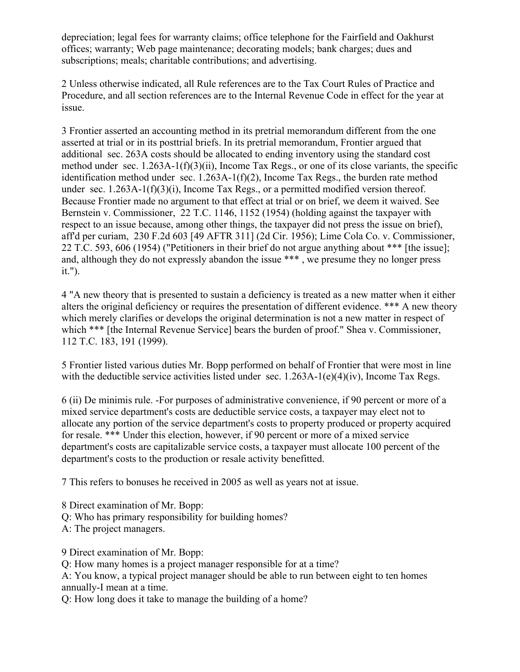depreciation; legal fees for warranty claims; office telephone for the Fairfield and Oakhurst offices; warranty; Web page maintenance; decorating models; bank charges; dues and subscriptions; meals; charitable contributions; and advertising.

2 Unless otherwise indicated, all Rule references are to the Tax Court Rules of Practice and Procedure, and all section references are to the Internal Revenue Code in effect for the year at issue.

3 Frontier asserted an accounting method in its pretrial memorandum different from the one asserted at trial or in its posttrial briefs. In its pretrial memorandum, Frontier argued that additional sec. 263A costs should be allocated to ending inventory using the standard cost method under sec. 1.263A-1(f)(3)(ii), Income Tax Regs., or one of its close variants, the specific identification method under sec. 1.263A-1(f)(2), Income Tax Regs., the burden rate method under sec.  $1.263A-1(f)(3)(i)$ , Income Tax Regs., or a permitted modified version thereof. Because Frontier made no argument to that effect at trial or on brief, we deem it waived. See Bernstein v. Commissioner, 22 T.C. 1146, 1152 (1954) (holding against the taxpayer with respect to an issue because, among other things, the taxpayer did not press the issue on brief), aff'd per curiam, 230 F.2d 603 [49 AFTR 311] (2d Cir. 1956); Lime Cola Co. v. Commissioner, 22 T.C. 593, 606 (1954) ("Petitioners in their brief do not argue anything about \*\*\* [the issue]; and, although they do not expressly abandon the issue \*\*\* , we presume they no longer press it.").

4 "A new theory that is presented to sustain a deficiency is treated as a new matter when it either alters the original deficiency or requires the presentation of different evidence. \*\*\* A new theory which merely clarifies or develops the original determination is not a new matter in respect of which \*\*\* [the Internal Revenue Service] bears the burden of proof." Shea v. Commissioner, 112 T.C. 183, 191 (1999).

5 Frontier listed various duties Mr. Bopp performed on behalf of Frontier that were most in line with the deductible service activities listed under sec. 1.263A-1(e)(4)(iv), Income Tax Regs.

6 (ii) De minimis rule. -For purposes of administrative convenience, if 90 percent or more of a mixed service department's costs are deductible service costs, a taxpayer may elect not to allocate any portion of the service department's costs to property produced or property acquired for resale. \*\*\* Under this election, however, if 90 percent or more of a mixed service department's costs are capitalizable service costs, a taxpayer must allocate 100 percent of the department's costs to the production or resale activity benefitted.

7 This refers to bonuses he received in 2005 as well as years not at issue.

8 Direct examination of Mr. Bopp:

Q: Who has primary responsibility for building homes?

A: The project managers.

9 Direct examination of Mr. Bopp:

Q: How many homes is a project manager responsible for at a time?

A: You know, a typical project manager should be able to run between eight to ten homes annually-I mean at a time.

Q: How long does it take to manage the building of a home?